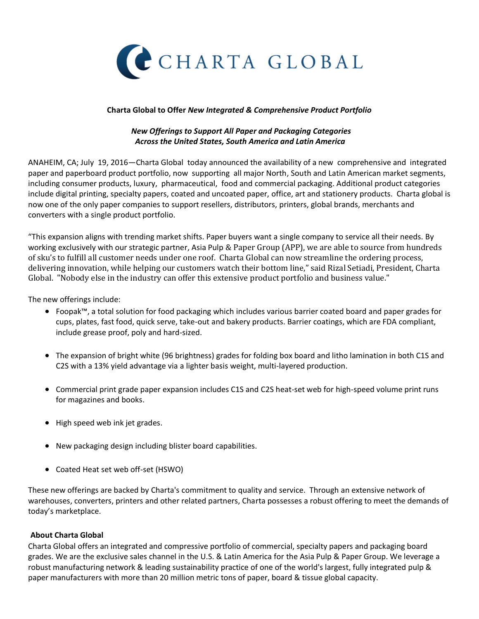

## **Charta Global to Offer** *New Integrated & Comprehensive Product Portfolio*

## *New Offerings to Support All Paper and Packaging Categories Across the United States, South America and Latin America*

ANAHEIM, CA; July 19, 2016—Charta Global today announced the availability of a new comprehensive and integrated paper and paperboard product portfolio, now supporting all major North, South and Latin American market segments, including consumer products, luxury, pharmaceutical, food and commercial packaging. Additional product categories include digital printing, specialty papers, coated and uncoated paper, office, art and stationery products. Charta global is now one of the only paper companies to support resellers, distributors, printers, global brands, merchants and converters with a single product portfolio.

"This expansion aligns with trending market shifts. Paper buyers want a single company to service all their needs. By working exclusively with our strategic partner, Asia Pulp & Paper Group (APP), we are able to source from hundreds of sku's to fulfill all customer needs under one roof. Charta Global can now streamline the ordering process, delivering innovation, while helping our customers watch their bottom line," said Rizal Setiadi, President, Charta Global. "Nobody else in the industry can offer this extensive product portfolio and business value."

The new offerings include:

- Foopak™, a total solution for food packaging which includes various barrier coated board and paper grades for cups, plates, fast food, quick serve, take-out and bakery products. Barrier coatings, which are FDA compliant, include grease proof, poly and hard-sized.
- The expansion of bright white (96 brightness) grades for folding box board and litho lamination in both C1S and C2S with a 13% yield advantage via a lighter basis weight, multi-layered production.
- Commercial print grade paper expansion includes C1S and C2S heat-set web for high-speed volume print runs for magazines and books.
- High speed web ink jet grades.
- New packaging design including blister board capabilities.
- Coated Heat set web off-set (HSWO)

These new offerings are backed by Charta's commitment to quality and service. Through an extensive network of warehouses, converters, printers and other related partners, Charta possesses a robust offering to meet the demands of today's marketplace.

## **About Charta Global**

Charta Global offers an integrated and compressive portfolio of commercial, specialty papers and packaging board grades. We are the exclusive sales channel in the U.S. & Latin America for the Asia Pulp & Paper Group. We leverage a robust manufacturing network & leading sustainability practice of one of the world's largest, fully integrated pulp & paper manufacturers with more than 20 million metric tons of paper, board & tissue global capacity.